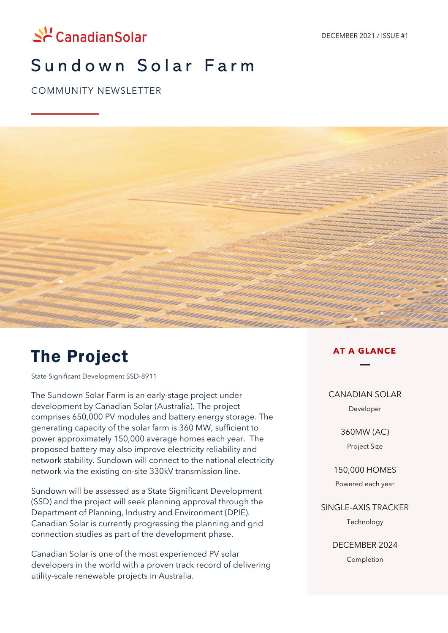

## Sundown Solar Farm

COMMUNITY NEWSLETTER



# The Project

State Significant Development SSD-8911

The Sundown Solar Farm is an early-stage project under development by Canadian Solar (Australia). The project comprises 650,000 PV modules and battery energy storage. The generating capacity of the solar farm is 360 MW, sufficient to power approximately 150,000 average homes each year. The proposed battery may also improve electricity reliability and network stability. Sundown will connect to the national electricity network via the existing on-site 330kV transmission line.

Sundown will be assessed as a State Significant Development (SSD) and the project will seek planning approval through the Department of Planning, Industry and Environment (DPIE). Canadian Solar is currently progressing the planning and grid connection studies as part of the development phase.

Canadian Solar is one of the most experienced PV solar developers in the world with a proven track record of delivering utility-scale renewable projects in Australia.

#### **AT A GLANCE**

#### CANADIAN SOLAR

Developer

#### 360MW (AC) Project Size

150,000 HOMES Powered each year

SINGLE-AXIS TRACKER Technology

DECEMBER 2024

Completion